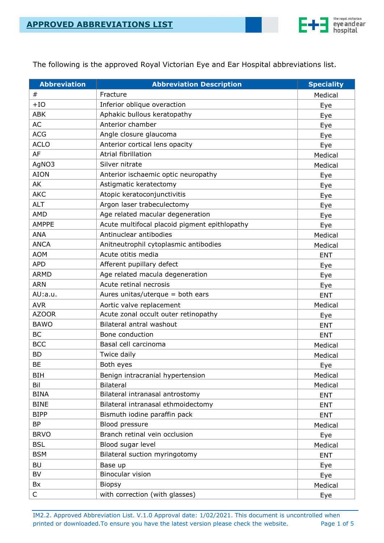

The following is the approved Royal Victorian Eye and Ear Hospital abbreviations list.

| <b>Abbreviation</b> | <b>Abbreviation Description</b>               | <b>Speciality</b> |
|---------------------|-----------------------------------------------|-------------------|
| $\#$                | Fracture                                      | Medical           |
| $+IO$               | Inferior oblique overaction                   | Eye               |
| <b>ABK</b>          | Aphakic bullous keratopathy                   | Eye               |
| <b>AC</b>           | Anterior chamber                              | Eye               |
| <b>ACG</b>          | Angle closure glaucoma                        | Eye               |
| <b>ACLO</b>         | Anterior cortical lens opacity                | Eye               |
| AF                  | Atrial fibrillation                           | Medical           |
| AgNO3               | Silver nitrate                                | Medical           |
| <b>AION</b>         | Anterior ischaemic optic neuropathy           | Eye               |
| AK                  | Astigmatic keratectomy                        | Eye               |
| <b>AKC</b>          | Atopic keratoconjunctivitis                   | Eye               |
| <b>ALT</b>          | Argon laser trabeculectomy                    | Eye               |
| <b>AMD</b>          | Age related macular degeneration              | Eye               |
| <b>AMPPE</b>        | Acute multifocal placoid pigment epithlopathy | Eye               |
| <b>ANA</b>          | Antinuclear antibodies                        | Medical           |
| <b>ANCA</b>         | Anitneutrophil cytoplasmic antibodies         | Medical           |
| <b>AOM</b>          | Acute otitis media                            | <b>ENT</b>        |
| <b>APD</b>          | Afferent pupillary defect                     | Eye               |
| <b>ARMD</b>         | Age related macula degeneration               | Eye               |
| <b>ARN</b>          | Acute retinal necrosis                        | Eye               |
| AU:a.u.             | Aures unitas/uterque = both ears              | <b>ENT</b>        |
| <b>AVR</b>          | Aortic valve replacement                      | Medical           |
| <b>AZOOR</b>        | Acute zonal occult outer retinopathy          | Eye               |
| <b>BAWO</b>         | Bilateral antral washout                      | <b>ENT</b>        |
| <b>BC</b>           | Bone conduction                               | <b>ENT</b>        |
| <b>BCC</b>          | Basal cell carcinoma                          | Medical           |
| <b>BD</b>           | Twice daily                                   | Medical           |
| <b>BE</b>           | Both eyes                                     | Eye               |
| <b>BIH</b>          | Benign intracranial hypertension              | Medical           |
| Bil                 | <b>Bilateral</b>                              | Medical           |
| <b>BINA</b>         | Bilateral intranasal antrostomy               | <b>ENT</b>        |
| <b>BINE</b>         | Bilateral intranasal ethmoidectomy            | <b>ENT</b>        |
| <b>BIPP</b>         | Bismuth iodine paraffin pack                  | <b>ENT</b>        |
| <b>BP</b>           | Blood pressure                                | Medical           |
| <b>BRVO</b>         | Branch retinal vein occlusion                 | Eye               |
| <b>BSL</b>          | Blood sugar level                             | Medical           |
| <b>BSM</b>          | Bilateral suction myringotomy                 | <b>ENT</b>        |
| <b>BU</b>           | Base up                                       | Eye               |
| BV                  | Binocular vision                              | Eye               |
| Bx                  | <b>Biopsy</b>                                 | Medical           |
| C                   | with correction (with glasses)                | Eye               |

IM2.2. Approved Abbreviation List. V.1.0 Approval date: 1/02/2021. This document is uncontrolled when printed or downloaded. To ensure you have the latest version please check the website. Page 1 of 5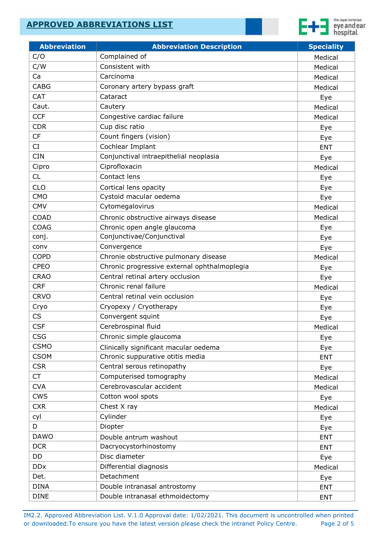

| Complained of<br>C/O<br>Medical<br>C/W<br>Consistent with<br>Medical<br>Ca<br>Carcinoma<br>Medical<br><b>CABG</b><br>Coronary artery bypass graft<br>Medical<br><b>CAT</b><br>Cataract<br>Eye<br>Caut.<br>Cautery<br>Medical<br><b>CCF</b><br>Congestive cardiac failure<br>Medical<br><b>CDR</b><br>Cup disc ratio<br>Eye<br><b>CF</b><br>Count fingers (vision)<br>Eye<br>Cochlear Implant<br><b>CI</b><br><b>ENT</b><br><b>CIN</b><br>Conjunctival intraepithelial neoplasia<br>Eye<br>Ciprofloxacin<br>Cipro<br>Medical<br>Contact lens<br><b>CL</b><br>Eye<br><b>CLO</b><br>Cortical lens opacity<br>Eye<br>Cystoid macular oedema<br><b>CMO</b><br>Eye<br>Cytomegalovirus<br><b>CMV</b><br>Medical<br><b>COAD</b><br>Chronic obstructive airways disease<br>Medical<br><b>COAG</b><br>Chronic open angle glaucoma<br>Eye<br>Conjunctivae/Conjunctival<br>conj.<br>Eye<br>Convergence<br>conv<br>Eye<br><b>COPD</b><br>Chronie obstructive pulmonary disease<br>Medical<br><b>CPEO</b><br>Chronic progressive external ophthalmoplegia<br>Eye<br><b>CRAO</b><br>Central retinal artery occlusion<br>Eye<br>Chronic renal failure<br><b>CRF</b><br>Medical<br><b>CRVO</b><br>Central retinal vein occlusion<br>Eye<br>Cryo<br>Cryopexy / Cryotherapy<br>Eye<br>Convergent squint<br><b>CS</b><br>Eye<br><b>CSF</b><br>Cerebrospinal fluid<br>Medical<br><b>CSG</b><br>Chronic simple glaucoma<br>Eye<br><b>CSMO</b><br>Clinically significant macular oedema<br>Eye<br><b>CSOM</b><br>Chronic suppurative otitis media<br><b>ENT</b><br>Central serous retinopathy<br><b>CSR</b><br>Eye<br><b>CT</b><br>Computerised tomography<br>Medical<br>Cerebrovascular accident<br><b>CVA</b><br>Medical<br><b>CWS</b><br>Cotton wool spots<br>Eye<br><b>CXR</b><br>Chest X ray<br>Medical<br>Cylinder<br>cyl<br>Eye<br>D<br>Diopter<br>Eye<br><b>DAWO</b><br>Double antrum washout<br><b>ENT</b><br><b>DCR</b><br>Dacryocystorhinostomy<br><b>ENT</b><br>Disc diameter<br><b>DD</b><br>Eye<br><b>DDx</b><br>Differential diagnosis<br>Medical<br>Detachment<br>Det.<br>Eye<br><b>DINA</b><br>Double intranasal antrostomy<br><b>ENT</b> | <b>Abbreviation</b> | <b>Abbreviation Description</b> | <b>Speciality</b> |
|-------------------------------------------------------------------------------------------------------------------------------------------------------------------------------------------------------------------------------------------------------------------------------------------------------------------------------------------------------------------------------------------------------------------------------------------------------------------------------------------------------------------------------------------------------------------------------------------------------------------------------------------------------------------------------------------------------------------------------------------------------------------------------------------------------------------------------------------------------------------------------------------------------------------------------------------------------------------------------------------------------------------------------------------------------------------------------------------------------------------------------------------------------------------------------------------------------------------------------------------------------------------------------------------------------------------------------------------------------------------------------------------------------------------------------------------------------------------------------------------------------------------------------------------------------------------------------------------------------------------------------------------------------------------------------------------------------------------------------------------------------------------------------------------------------------------------------------------------------------------------------------------------------------------------------------------------------------------------------------------------------------------------------------------------------------------------------------------------------------------------------------|---------------------|---------------------------------|-------------------|
|                                                                                                                                                                                                                                                                                                                                                                                                                                                                                                                                                                                                                                                                                                                                                                                                                                                                                                                                                                                                                                                                                                                                                                                                                                                                                                                                                                                                                                                                                                                                                                                                                                                                                                                                                                                                                                                                                                                                                                                                                                                                                                                                     |                     |                                 |                   |
|                                                                                                                                                                                                                                                                                                                                                                                                                                                                                                                                                                                                                                                                                                                                                                                                                                                                                                                                                                                                                                                                                                                                                                                                                                                                                                                                                                                                                                                                                                                                                                                                                                                                                                                                                                                                                                                                                                                                                                                                                                                                                                                                     |                     |                                 |                   |
|                                                                                                                                                                                                                                                                                                                                                                                                                                                                                                                                                                                                                                                                                                                                                                                                                                                                                                                                                                                                                                                                                                                                                                                                                                                                                                                                                                                                                                                                                                                                                                                                                                                                                                                                                                                                                                                                                                                                                                                                                                                                                                                                     |                     |                                 |                   |
|                                                                                                                                                                                                                                                                                                                                                                                                                                                                                                                                                                                                                                                                                                                                                                                                                                                                                                                                                                                                                                                                                                                                                                                                                                                                                                                                                                                                                                                                                                                                                                                                                                                                                                                                                                                                                                                                                                                                                                                                                                                                                                                                     |                     |                                 |                   |
|                                                                                                                                                                                                                                                                                                                                                                                                                                                                                                                                                                                                                                                                                                                                                                                                                                                                                                                                                                                                                                                                                                                                                                                                                                                                                                                                                                                                                                                                                                                                                                                                                                                                                                                                                                                                                                                                                                                                                                                                                                                                                                                                     |                     |                                 |                   |
|                                                                                                                                                                                                                                                                                                                                                                                                                                                                                                                                                                                                                                                                                                                                                                                                                                                                                                                                                                                                                                                                                                                                                                                                                                                                                                                                                                                                                                                                                                                                                                                                                                                                                                                                                                                                                                                                                                                                                                                                                                                                                                                                     |                     |                                 |                   |
|                                                                                                                                                                                                                                                                                                                                                                                                                                                                                                                                                                                                                                                                                                                                                                                                                                                                                                                                                                                                                                                                                                                                                                                                                                                                                                                                                                                                                                                                                                                                                                                                                                                                                                                                                                                                                                                                                                                                                                                                                                                                                                                                     |                     |                                 |                   |
|                                                                                                                                                                                                                                                                                                                                                                                                                                                                                                                                                                                                                                                                                                                                                                                                                                                                                                                                                                                                                                                                                                                                                                                                                                                                                                                                                                                                                                                                                                                                                                                                                                                                                                                                                                                                                                                                                                                                                                                                                                                                                                                                     |                     |                                 |                   |
|                                                                                                                                                                                                                                                                                                                                                                                                                                                                                                                                                                                                                                                                                                                                                                                                                                                                                                                                                                                                                                                                                                                                                                                                                                                                                                                                                                                                                                                                                                                                                                                                                                                                                                                                                                                                                                                                                                                                                                                                                                                                                                                                     |                     |                                 |                   |
|                                                                                                                                                                                                                                                                                                                                                                                                                                                                                                                                                                                                                                                                                                                                                                                                                                                                                                                                                                                                                                                                                                                                                                                                                                                                                                                                                                                                                                                                                                                                                                                                                                                                                                                                                                                                                                                                                                                                                                                                                                                                                                                                     |                     |                                 |                   |
|                                                                                                                                                                                                                                                                                                                                                                                                                                                                                                                                                                                                                                                                                                                                                                                                                                                                                                                                                                                                                                                                                                                                                                                                                                                                                                                                                                                                                                                                                                                                                                                                                                                                                                                                                                                                                                                                                                                                                                                                                                                                                                                                     |                     |                                 |                   |
|                                                                                                                                                                                                                                                                                                                                                                                                                                                                                                                                                                                                                                                                                                                                                                                                                                                                                                                                                                                                                                                                                                                                                                                                                                                                                                                                                                                                                                                                                                                                                                                                                                                                                                                                                                                                                                                                                                                                                                                                                                                                                                                                     |                     |                                 |                   |
|                                                                                                                                                                                                                                                                                                                                                                                                                                                                                                                                                                                                                                                                                                                                                                                                                                                                                                                                                                                                                                                                                                                                                                                                                                                                                                                                                                                                                                                                                                                                                                                                                                                                                                                                                                                                                                                                                                                                                                                                                                                                                                                                     |                     |                                 |                   |
|                                                                                                                                                                                                                                                                                                                                                                                                                                                                                                                                                                                                                                                                                                                                                                                                                                                                                                                                                                                                                                                                                                                                                                                                                                                                                                                                                                                                                                                                                                                                                                                                                                                                                                                                                                                                                                                                                                                                                                                                                                                                                                                                     |                     |                                 |                   |
|                                                                                                                                                                                                                                                                                                                                                                                                                                                                                                                                                                                                                                                                                                                                                                                                                                                                                                                                                                                                                                                                                                                                                                                                                                                                                                                                                                                                                                                                                                                                                                                                                                                                                                                                                                                                                                                                                                                                                                                                                                                                                                                                     |                     |                                 |                   |
|                                                                                                                                                                                                                                                                                                                                                                                                                                                                                                                                                                                                                                                                                                                                                                                                                                                                                                                                                                                                                                                                                                                                                                                                                                                                                                                                                                                                                                                                                                                                                                                                                                                                                                                                                                                                                                                                                                                                                                                                                                                                                                                                     |                     |                                 |                   |
|                                                                                                                                                                                                                                                                                                                                                                                                                                                                                                                                                                                                                                                                                                                                                                                                                                                                                                                                                                                                                                                                                                                                                                                                                                                                                                                                                                                                                                                                                                                                                                                                                                                                                                                                                                                                                                                                                                                                                                                                                                                                                                                                     |                     |                                 |                   |
|                                                                                                                                                                                                                                                                                                                                                                                                                                                                                                                                                                                                                                                                                                                                                                                                                                                                                                                                                                                                                                                                                                                                                                                                                                                                                                                                                                                                                                                                                                                                                                                                                                                                                                                                                                                                                                                                                                                                                                                                                                                                                                                                     |                     |                                 |                   |
|                                                                                                                                                                                                                                                                                                                                                                                                                                                                                                                                                                                                                                                                                                                                                                                                                                                                                                                                                                                                                                                                                                                                                                                                                                                                                                                                                                                                                                                                                                                                                                                                                                                                                                                                                                                                                                                                                                                                                                                                                                                                                                                                     |                     |                                 |                   |
|                                                                                                                                                                                                                                                                                                                                                                                                                                                                                                                                                                                                                                                                                                                                                                                                                                                                                                                                                                                                                                                                                                                                                                                                                                                                                                                                                                                                                                                                                                                                                                                                                                                                                                                                                                                                                                                                                                                                                                                                                                                                                                                                     |                     |                                 |                   |
|                                                                                                                                                                                                                                                                                                                                                                                                                                                                                                                                                                                                                                                                                                                                                                                                                                                                                                                                                                                                                                                                                                                                                                                                                                                                                                                                                                                                                                                                                                                                                                                                                                                                                                                                                                                                                                                                                                                                                                                                                                                                                                                                     |                     |                                 |                   |
|                                                                                                                                                                                                                                                                                                                                                                                                                                                                                                                                                                                                                                                                                                                                                                                                                                                                                                                                                                                                                                                                                                                                                                                                                                                                                                                                                                                                                                                                                                                                                                                                                                                                                                                                                                                                                                                                                                                                                                                                                                                                                                                                     |                     |                                 |                   |
|                                                                                                                                                                                                                                                                                                                                                                                                                                                                                                                                                                                                                                                                                                                                                                                                                                                                                                                                                                                                                                                                                                                                                                                                                                                                                                                                                                                                                                                                                                                                                                                                                                                                                                                                                                                                                                                                                                                                                                                                                                                                                                                                     |                     |                                 |                   |
|                                                                                                                                                                                                                                                                                                                                                                                                                                                                                                                                                                                                                                                                                                                                                                                                                                                                                                                                                                                                                                                                                                                                                                                                                                                                                                                                                                                                                                                                                                                                                                                                                                                                                                                                                                                                                                                                                                                                                                                                                                                                                                                                     |                     |                                 |                   |
|                                                                                                                                                                                                                                                                                                                                                                                                                                                                                                                                                                                                                                                                                                                                                                                                                                                                                                                                                                                                                                                                                                                                                                                                                                                                                                                                                                                                                                                                                                                                                                                                                                                                                                                                                                                                                                                                                                                                                                                                                                                                                                                                     |                     |                                 |                   |
|                                                                                                                                                                                                                                                                                                                                                                                                                                                                                                                                                                                                                                                                                                                                                                                                                                                                                                                                                                                                                                                                                                                                                                                                                                                                                                                                                                                                                                                                                                                                                                                                                                                                                                                                                                                                                                                                                                                                                                                                                                                                                                                                     |                     |                                 |                   |
|                                                                                                                                                                                                                                                                                                                                                                                                                                                                                                                                                                                                                                                                                                                                                                                                                                                                                                                                                                                                                                                                                                                                                                                                                                                                                                                                                                                                                                                                                                                                                                                                                                                                                                                                                                                                                                                                                                                                                                                                                                                                                                                                     |                     |                                 |                   |
|                                                                                                                                                                                                                                                                                                                                                                                                                                                                                                                                                                                                                                                                                                                                                                                                                                                                                                                                                                                                                                                                                                                                                                                                                                                                                                                                                                                                                                                                                                                                                                                                                                                                                                                                                                                                                                                                                                                                                                                                                                                                                                                                     |                     |                                 |                   |
|                                                                                                                                                                                                                                                                                                                                                                                                                                                                                                                                                                                                                                                                                                                                                                                                                                                                                                                                                                                                                                                                                                                                                                                                                                                                                                                                                                                                                                                                                                                                                                                                                                                                                                                                                                                                                                                                                                                                                                                                                                                                                                                                     |                     |                                 |                   |
|                                                                                                                                                                                                                                                                                                                                                                                                                                                                                                                                                                                                                                                                                                                                                                                                                                                                                                                                                                                                                                                                                                                                                                                                                                                                                                                                                                                                                                                                                                                                                                                                                                                                                                                                                                                                                                                                                                                                                                                                                                                                                                                                     |                     |                                 |                   |
|                                                                                                                                                                                                                                                                                                                                                                                                                                                                                                                                                                                                                                                                                                                                                                                                                                                                                                                                                                                                                                                                                                                                                                                                                                                                                                                                                                                                                                                                                                                                                                                                                                                                                                                                                                                                                                                                                                                                                                                                                                                                                                                                     |                     |                                 |                   |
|                                                                                                                                                                                                                                                                                                                                                                                                                                                                                                                                                                                                                                                                                                                                                                                                                                                                                                                                                                                                                                                                                                                                                                                                                                                                                                                                                                                                                                                                                                                                                                                                                                                                                                                                                                                                                                                                                                                                                                                                                                                                                                                                     |                     |                                 |                   |
|                                                                                                                                                                                                                                                                                                                                                                                                                                                                                                                                                                                                                                                                                                                                                                                                                                                                                                                                                                                                                                                                                                                                                                                                                                                                                                                                                                                                                                                                                                                                                                                                                                                                                                                                                                                                                                                                                                                                                                                                                                                                                                                                     |                     |                                 |                   |
|                                                                                                                                                                                                                                                                                                                                                                                                                                                                                                                                                                                                                                                                                                                                                                                                                                                                                                                                                                                                                                                                                                                                                                                                                                                                                                                                                                                                                                                                                                                                                                                                                                                                                                                                                                                                                                                                                                                                                                                                                                                                                                                                     |                     |                                 |                   |
|                                                                                                                                                                                                                                                                                                                                                                                                                                                                                                                                                                                                                                                                                                                                                                                                                                                                                                                                                                                                                                                                                                                                                                                                                                                                                                                                                                                                                                                                                                                                                                                                                                                                                                                                                                                                                                                                                                                                                                                                                                                                                                                                     |                     |                                 |                   |
|                                                                                                                                                                                                                                                                                                                                                                                                                                                                                                                                                                                                                                                                                                                                                                                                                                                                                                                                                                                                                                                                                                                                                                                                                                                                                                                                                                                                                                                                                                                                                                                                                                                                                                                                                                                                                                                                                                                                                                                                                                                                                                                                     |                     |                                 |                   |
|                                                                                                                                                                                                                                                                                                                                                                                                                                                                                                                                                                                                                                                                                                                                                                                                                                                                                                                                                                                                                                                                                                                                                                                                                                                                                                                                                                                                                                                                                                                                                                                                                                                                                                                                                                                                                                                                                                                                                                                                                                                                                                                                     |                     |                                 |                   |
|                                                                                                                                                                                                                                                                                                                                                                                                                                                                                                                                                                                                                                                                                                                                                                                                                                                                                                                                                                                                                                                                                                                                                                                                                                                                                                                                                                                                                                                                                                                                                                                                                                                                                                                                                                                                                                                                                                                                                                                                                                                                                                                                     |                     |                                 |                   |
|                                                                                                                                                                                                                                                                                                                                                                                                                                                                                                                                                                                                                                                                                                                                                                                                                                                                                                                                                                                                                                                                                                                                                                                                                                                                                                                                                                                                                                                                                                                                                                                                                                                                                                                                                                                                                                                                                                                                                                                                                                                                                                                                     |                     |                                 |                   |
|                                                                                                                                                                                                                                                                                                                                                                                                                                                                                                                                                                                                                                                                                                                                                                                                                                                                                                                                                                                                                                                                                                                                                                                                                                                                                                                                                                                                                                                                                                                                                                                                                                                                                                                                                                                                                                                                                                                                                                                                                                                                                                                                     |                     |                                 |                   |
|                                                                                                                                                                                                                                                                                                                                                                                                                                                                                                                                                                                                                                                                                                                                                                                                                                                                                                                                                                                                                                                                                                                                                                                                                                                                                                                                                                                                                                                                                                                                                                                                                                                                                                                                                                                                                                                                                                                                                                                                                                                                                                                                     |                     |                                 |                   |
|                                                                                                                                                                                                                                                                                                                                                                                                                                                                                                                                                                                                                                                                                                                                                                                                                                                                                                                                                                                                                                                                                                                                                                                                                                                                                                                                                                                                                                                                                                                                                                                                                                                                                                                                                                                                                                                                                                                                                                                                                                                                                                                                     |                     |                                 |                   |
|                                                                                                                                                                                                                                                                                                                                                                                                                                                                                                                                                                                                                                                                                                                                                                                                                                                                                                                                                                                                                                                                                                                                                                                                                                                                                                                                                                                                                                                                                                                                                                                                                                                                                                                                                                                                                                                                                                                                                                                                                                                                                                                                     |                     |                                 |                   |
|                                                                                                                                                                                                                                                                                                                                                                                                                                                                                                                                                                                                                                                                                                                                                                                                                                                                                                                                                                                                                                                                                                                                                                                                                                                                                                                                                                                                                                                                                                                                                                                                                                                                                                                                                                                                                                                                                                                                                                                                                                                                                                                                     |                     |                                 |                   |
|                                                                                                                                                                                                                                                                                                                                                                                                                                                                                                                                                                                                                                                                                                                                                                                                                                                                                                                                                                                                                                                                                                                                                                                                                                                                                                                                                                                                                                                                                                                                                                                                                                                                                                                                                                                                                                                                                                                                                                                                                                                                                                                                     | <b>DINE</b>         | Double intranasal ethmoidectomy | <b>ENT</b>        |

IM2.2. Approved Abbreviation List. V.1.0 Approval date: 1/02/2021. This document is uncontrolled when printed or downloaded. To ensure you have the latest version please check the intranet Policy Centre. Page 2 of 5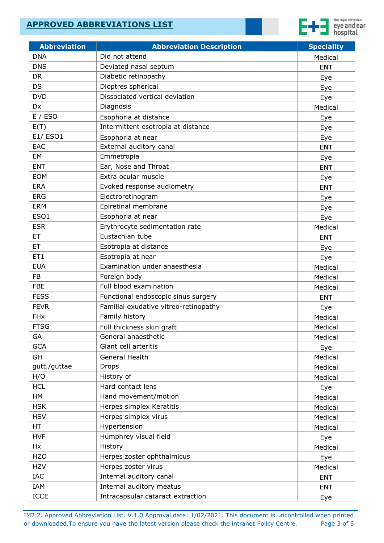

| <b>Abbreviation</b>   | <b>Abbreviation Description</b>       | <b>Speciality</b> |
|-----------------------|---------------------------------------|-------------------|
| <b>DNA</b>            | Did not attend                        | Medical           |
| <b>DNS</b>            | Deviated nasal septum                 | <b>ENT</b>        |
| <b>DR</b>             | Diabetic retinopathy                  | Eye               |
| <b>DS</b>             | Dioptres spherical                    | Eye               |
| <b>DVD</b>            | Dissociated vertical deviation        | Eye               |
| Dx                    | Diagnosis                             | Medical           |
| E / ESO               | Esophoria at distance                 | Eye               |
| E(T)                  | Intermittent esotropia at distance    | Eye               |
| E1/ ESO1              | Esophoria at near                     | Eye               |
| <b>EAC</b>            | External auditory canal               | <b>ENT</b>        |
| EM                    | Emmetropia                            | Eye               |
| <b>ENT</b>            | Ear, Nose and Throat                  | <b>ENT</b>        |
| <b>EOM</b>            | Extra ocular muscle                   | Eye               |
| <b>ERA</b>            | Evoked response audiometry            | <b>ENT</b>        |
| <b>ERG</b>            | Electroretinogram                     | Eye               |
| <b>ERM</b>            | Epiretinal membrane                   | Eye               |
| ESO1                  | Esophoria at near                     | Eye               |
| <b>ESR</b>            | Erythrocyte sedimentation rate        | Medical           |
| <b>ET</b>             | Eustachian tube                       | <b>ENT</b>        |
| <b>ET</b>             | Esotropia at distance                 | Eye               |
| ET1                   | Esotropia at near                     | Eye               |
| <b>EUA</b>            | Examination under anaesthesia         | Medical           |
| <b>FB</b>             | Foreign body                          | Medical           |
| <b>FBE</b>            | Full blood examination                | Medical           |
| <b>FESS</b>           | Functional endoscopic sinus surgery   | <b>ENT</b>        |
| <b>FEVR</b>           | Familial exudative vitreo-retinopathy | Eye               |
| <b>FH<sub>x</sub></b> | Family history                        | Medical           |
| <b>FTSG</b>           | Full thickness skin graft             | Medical           |
| GA                    | General anaesthetic                   | Medical           |
| <b>GCA</b>            | Giant cell arteritis                  | Eye               |
| GH                    | General Health                        | Medical           |
| gutt./guttae          | <b>Drops</b>                          | Medical           |
| H/O                   | History of                            | Medical           |
| <b>HCL</b>            | Hard contact lens                     | Eye               |
| HM                    | Hand movement/motion                  | Medical           |
| <b>HSK</b>            | Herpes simplex Keratitis              | Medical           |
| <b>HSV</b>            | Herpes simplex virus                  | Medical           |
| <b>HT</b>             | Hypertension                          | Medical           |
| <b>HVF</b>            | Humphrey visual field                 | Eye               |
| Hx                    | History                               | Medical           |
| <b>HZO</b>            | Herpes zoster ophthalmicus            | Eye               |
| <b>HZV</b>            | Herpes zoster virus                   | Medical           |
| IAC                   | Internal auditory canal               | <b>ENT</b>        |
| IAM                   | Internal auditory meatus              | <b>ENT</b>        |
| <b>ICCE</b>           | Intracapsular cataract extraction     | Eye               |

IM2.2. Approved Abbreviation List. V.1.0 Approval date: 1/02/2021. This document is uncontrolled when printed or downloaded. To ensure you have the latest version please check the intranet Policy Centre. Page 3 of 5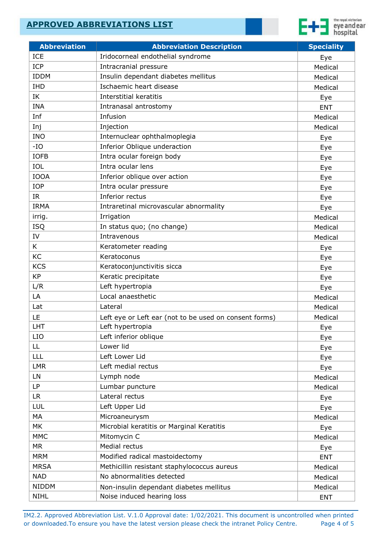

| <b>Abbreviation</b> | <b>Abbreviation Description</b>                        | <b>Speciality</b> |
|---------------------|--------------------------------------------------------|-------------------|
| <b>ICE</b>          | Iridocorneal endothelial syndrome                      | Eye               |
| <b>ICP</b>          | Intracranial pressure                                  | Medical           |
| <b>IDDM</b>         | Insulin dependant diabetes mellitus                    | Medical           |
| <b>IHD</b>          | Ischaemic heart disease                                | Medical           |
| IK                  | <b>Interstitial keratitis</b>                          | Eye               |
| <b>INA</b>          | Intranasal antrostomy                                  | <b>ENT</b>        |
| Inf                 | Infusion                                               | Medical           |
| Inj                 | Injection                                              | Medical           |
| <b>INO</b>          | Internuclear ophthalmoplegia                           | Eye               |
| $-IO$               | Inferior Oblique underaction                           | Eye               |
| <b>IOFB</b>         | Intra ocular foreign body                              | Eye               |
| IOL                 | Intra ocular lens                                      | Eye               |
| <b>IOOA</b>         | Inferior oblique over action                           | Eye               |
| <b>IOP</b>          | Intra ocular pressure                                  | Eye               |
| IR.                 | Inferior rectus                                        | Eye               |
| <b>IRMA</b>         | Intraretinal microvascular abnormality                 | Eye               |
| irrig.              | Irrigation                                             | Medical           |
| <b>ISQ</b>          | In status quo; (no change)                             | Medical           |
| IV                  | Intravenous                                            | Medical           |
| K                   | Keratometer reading                                    | Eye               |
| KC                  | Keratoconus                                            | Eye               |
| <b>KCS</b>          | Keratoconjunctivitis sicca                             |                   |
| <b>KP</b>           | Keratic precipitate                                    | Eye<br>Eye        |
| L/R                 | Left hypertropia                                       | Eye               |
| LA                  | Local anaesthetic                                      | Medical           |
| Lat                 | Lateral                                                | Medical           |
| LE                  | Left eye or Left ear (not to be used on consent forms) | Medical           |
| LHT                 | Left hypertropia                                       | <u>Eye</u>        |
| <b>LIO</b>          | Left inferior oblique                                  | Eye               |
| LL.                 | Lower lid                                              | Eye               |
| LLL                 | Left Lower Lid                                         | Eye               |
| <b>LMR</b>          | Left medial rectus                                     | Eye               |
| LN                  | Lymph node                                             | Medical           |
| LP                  | Lumbar puncture                                        |                   |
| LR.                 | Lateral rectus                                         | Medical           |
| LUL                 | Left Upper Lid                                         | Eye               |
| MA                  | Microaneurysm                                          | Eye               |
| MK                  |                                                        | Medical           |
|                     | Microbial keratitis or Marginal Keratitis              | Eye               |
| <b>MMC</b>          | Mitomycin C<br>Medial rectus                           | Medical           |
| <b>MR</b>           |                                                        | Eye               |
| <b>MRM</b>          | Modified radical mastoidectomy                         | <b>ENT</b>        |
| <b>MRSA</b>         | Methicillin resistant staphylococcus aureus            | Medical           |
| <b>NAD</b>          | No abnormalities detected                              | Medical           |
| <b>NIDDM</b>        | Non-insulin dependant diabetes mellitus                | Medical           |
| <b>NIHL</b>         | Noise induced hearing loss                             | <b>ENT</b>        |

IM2.2. Approved Abbreviation List. V.1.0 Approval date: 1/02/2021. This document is uncontrolled when printed or downloaded. To ensure you have the latest version please check the intranet Policy Centre. Page 4 of 5